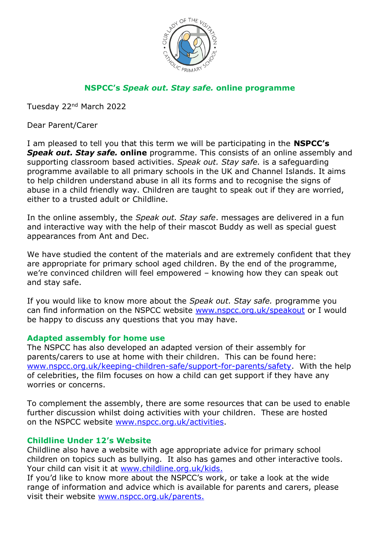

# **NSPCC's** *Speak out. Stay safe.* **online programme**

Tuesday 22nd March 2022

Dear Parent/Carer

I am pleased to tell you that this term we will be participating in the **NSPCC's**  *Speak out. Stay safe.* **online** programme. This consists of an online assembly and supporting classroom based activities. *Speak out. Stay safe.* is a safeguarding programme available to all primary schools in the UK and Channel Islands. It aims to help children understand abuse in all its forms and to recognise the signs of abuse in a child friendly way. Children are taught to speak out if they are worried, either to a trusted adult or Childline.

In the online assembly, the *Speak out. Stay safe*. messages are delivered in a fun and interactive way with the help of their mascot Buddy as well as special guest appearances from Ant and Dec.

We have studied the content of the materials and are extremely confident that they are appropriate for primary school aged children. By the end of the programme, we're convinced children will feel empowered – knowing how they can speak out and stay safe.

If you would like to know more about the *Speak out. Stay safe.* programme you can find information on the NSPCC website [www.nspcc.org.uk/speakout](http://www.nspcc.org.uk/speakout) or I would be happy to discuss any questions that you may have.

### **Adapted assembly for home use**

The NSPCC has also developed an adapted version of their assembly for parents/carers to use at home with their children.This can be found here: [www.nspcc.org.uk/keeping-children-safe/support-for-parents/safety.](http://www.nspcc.org.uk/keeping-children-safe/support-for-parents/safety) With the help of celebrities, the film focuses on how a child can get support if they have any worries or concerns.

To complement the assembly, there are some resources that can be used to enable further discussion whilst doing activities with your children. These are hosted on the NSPCC website [www.nspcc.org.uk/activities.](http://www.nspcc.org.uk/activities)

### **Childline Under 12's Website**

Childline also have a website with age appropriate advice for primary school children on topics such as bullying. It also has games and other interactive tools. Your child can visit it at [www.childline.org.uk/kids.](http://www.childline.org.uk/kids)

If you'd like to know more about the NSPCC's work, or take a look at the wide range of information and advice which is available for parents and carers, please visit their website [www.nspcc.org.uk/parents.](http://www.nspcc.org.uk/parents)